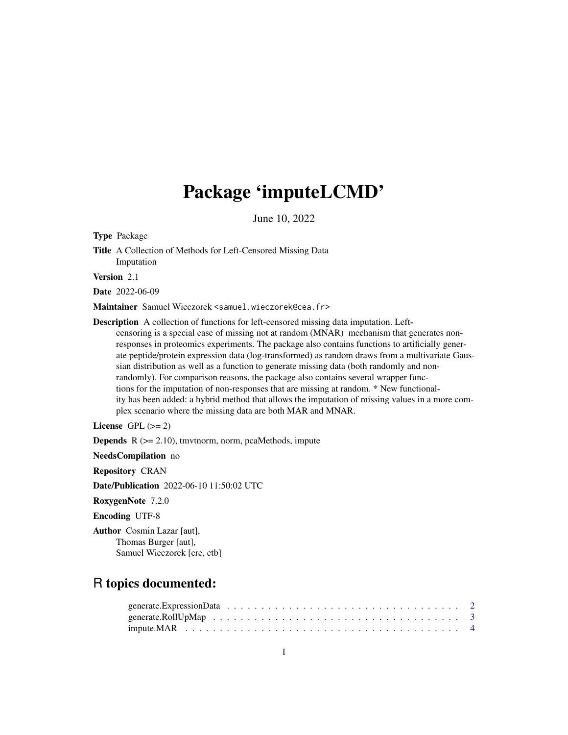## Package 'imputeLCMD'

June 10, 2022

Type Package

Title A Collection of Methods for Left-Censored Missing Data Imputation

Version 2.1

Date 2022-06-09

Maintainer Samuel Wieczorek <samuel.wieczorek@cea.fr>

Description A collection of functions for left-censored missing data imputation. Leftcensoring is a special case of missing not at random (MNAR) mechanism that generates nonresponses in proteomics experiments. The package also contains functions to artificially generate peptide/protein expression data (log-transformed) as random draws from a multivariate Gaussian distribution as well as a function to generate missing data (both randomly and nonrandomly). For comparison reasons, the package also contains several wrapper functions for the imputation of non-responses that are missing at random. \* New functionality has been added: a hybrid method that allows the imputation of missing values in a more complex scenario where the missing data are both MAR and MNAR.

License GPL  $(>= 2)$ 

**Depends**  $R$  ( $>= 2.10$ ), tmvtnorm, norm, pcaMethods, impute

NeedsCompilation no

Repository CRAN

Date/Publication 2022-06-10 11:50:02 UTC

RoxygenNote 7.2.0

Encoding UTF-8

Author Cosmin Lazar [aut], Thomas Burger [aut], Samuel Wieczorek [cre, ctb]

## R topics documented:

| impute. MAR $\dots \dots \dots \dots \dots \dots \dots \dots \dots \dots \dots \dots \dots \dots \dots \dots \dots$ |  |  |  |  |  |  |  |  |  |  |  |  |  |  |  |  |  |
|---------------------------------------------------------------------------------------------------------------------|--|--|--|--|--|--|--|--|--|--|--|--|--|--|--|--|--|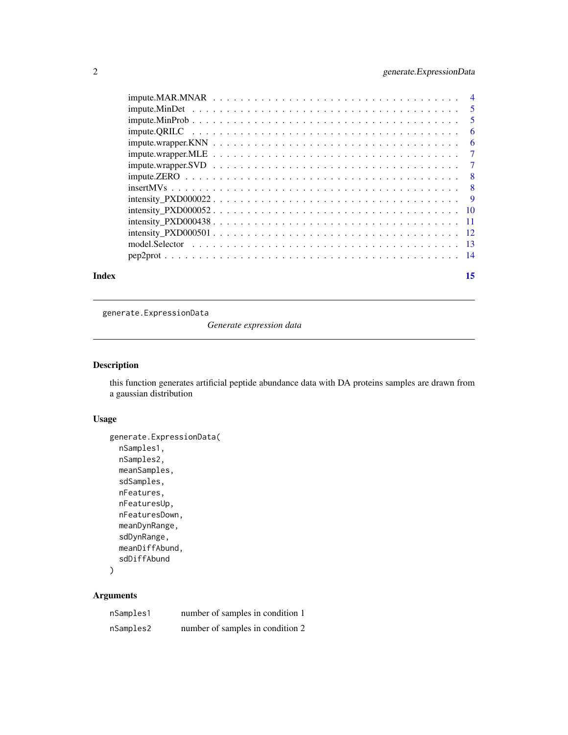## <span id="page-1-0"></span>2 generate.ExpressionData

| Index |                                   | 15 |
|-------|-----------------------------------|----|
|       |                                   |    |
|       |                                   |    |
|       |                                   |    |
|       | $intensity$ $\sim$ $PXD000438$ 11 |    |
|       |                                   |    |
|       |                                   |    |
|       |                                   |    |
|       |                                   |    |
|       |                                   |    |
|       |                                   |    |
|       |                                   |    |
|       |                                   |    |
|       |                                   |    |
|       |                                   |    |
|       |                                   |    |

generate.ExpressionData

*Generate expression data*

## Description

this function generates artificial peptide abundance data with DA proteins samples are drawn from a gaussian distribution

## Usage

```
generate.ExpressionData(
 nSamples1,
 nSamples2,
 meanSamples,
  sdSamples,
 nFeatures,
  nFeaturesUp,
  nFeaturesDown,
 meanDynRange,
  sdDynRange,
 meanDiffAbund,
  sdDiffAbund
```
)

## Arguments

| nSamples1 | number of samples in condition 1 |
|-----------|----------------------------------|
| nSamples2 | number of samples in condition 2 |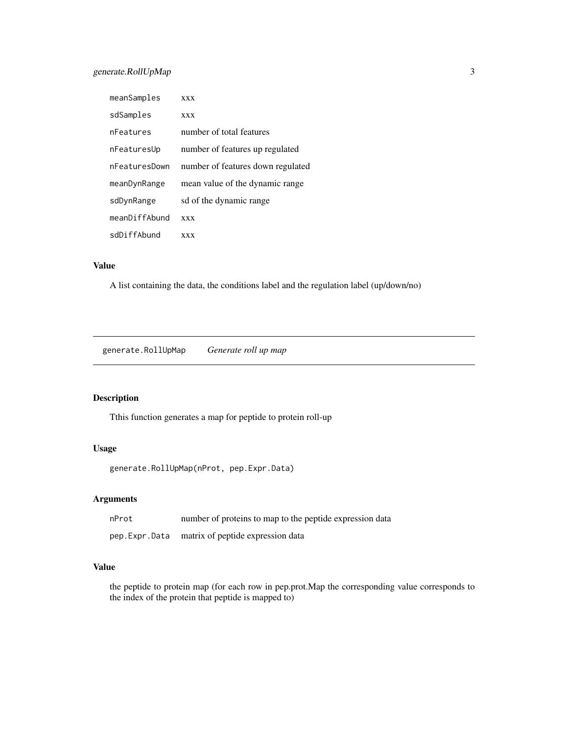## <span id="page-2-0"></span>generate.RollUpMap 3

| meanSamples   | xxx                               |
|---------------|-----------------------------------|
| sdSamples     | <b>XXX</b>                        |
| nFeatures     | number of total features          |
| nFeaturesUp   | number of features up regulated   |
| nFeaturesDown | number of features down regulated |
| meanDynRange  | mean value of the dynamic range   |
| sdDynRange    | sd of the dynamic range           |
| meanDiffAbund | <b>XXX</b>                        |
| sdDiffAbund   | <b>x x x</b>                      |

## Value

A list containing the data, the conditions label and the regulation label (up/down/no)

generate.RollUpMap *Generate roll up map*

## Description

Tthis function generates a map for peptide to protein roll-up

## Usage

generate.RollUpMap(nProt, pep.Expr.Data)

## Arguments

| nProt | number of proteins to map to the peptide expression data |
|-------|----------------------------------------------------------|
|       | pep. Expr. Data matrix of peptide expression data        |

## Value

the peptide to protein map (for each row in pep.prot.Map the corresponding value corresponds to the index of the protein that peptide is mapped to)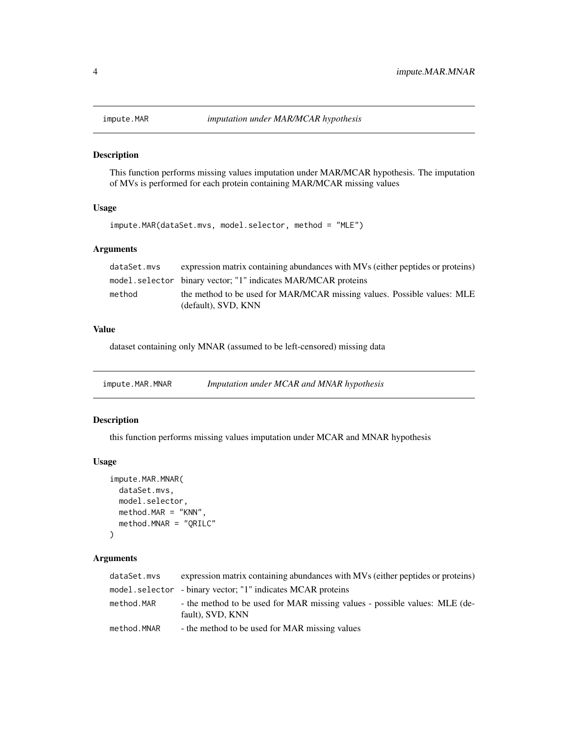<span id="page-3-0"></span>

This function performs missing values imputation under MAR/MCAR hypothesis. The imputation of MVs is performed for each protein containing MAR/MCAR missing values

#### Usage

```
impute.MAR(dataSet.mvs, model.selector, method = "MLE")
```
#### Arguments

| dataSet.mvs | expression matrix containing abundances with MVs (either peptides or proteins) |
|-------------|--------------------------------------------------------------------------------|
|             | model.selector binary vector; "1" indicates MAR/MCAR proteins                  |
| method      | the method to be used for MAR/MCAR missing values. Possible values: MLE        |
|             | (default), SVD, KNN                                                            |

### Value

dataset containing only MNAR (assumed to be left-censored) missing data

impute.MAR.MNAR *Imputation under MCAR and MNAR hypothesis*

## Description

this function performs missing values imputation under MCAR and MNAR hypothesis

#### Usage

```
impute.MAR.MNAR(
 dataSet.mvs,
 model.selector,
 method.MAR = "KNN",
 method.MNAR = "QRILC"
)
```
## Arguments

| dataSet.mvs | expression matrix containing abundances with MVs (either peptides or proteins)                 |
|-------------|------------------------------------------------------------------------------------------------|
|             | model.selector - binary vector; "1" indicates MCAR proteins                                    |
| method.MAR  | - the method to be used for MAR missing values - possible values: MLE (de-<br>fault), SVD, KNN |
| method.MNAR | - the method to be used for MAR missing values                                                 |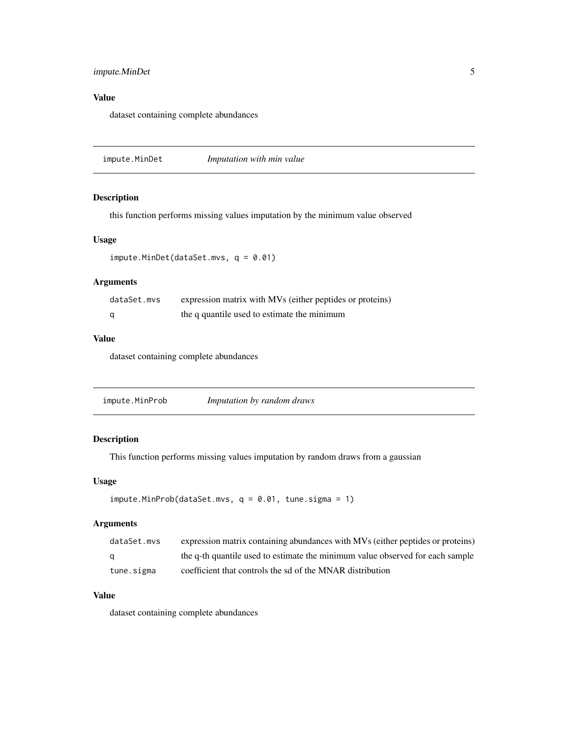## <span id="page-4-0"></span>impute.MinDet 5

## Value

dataset containing complete abundances

impute.MinDet *Imputation with min value*

## Description

this function performs missing values imputation by the minimum value observed

## Usage

```
impute.MinDet(dataSet.mvs, q = 0.01)
```
## Arguments

| dataSet.mvs | expression matrix with MVs (either peptides or proteins) |
|-------------|----------------------------------------------------------|
| a           | the q quantile used to estimate the minimum              |

## Value

dataset containing complete abundances

| impute.MinProb | <i>Imputation by random draws</i> |
|----------------|-----------------------------------|
|----------------|-----------------------------------|

## Description

This function performs missing values imputation by random draws from a gaussian

#### Usage

```
impute.MinProb(dataSet.mvs, q = 0.01, tune.sigma = 1)
```
## Arguments

| dataSet.mvs | expression matrix containing abundances with MVs (either peptides or proteins) |
|-------------|--------------------------------------------------------------------------------|
|             | the q-th quantile used to estimate the minimum value observed for each sample  |
| tune.sigma  | coefficient that controls the sd of the MNAR distribution                      |

## Value

dataset containing complete abundances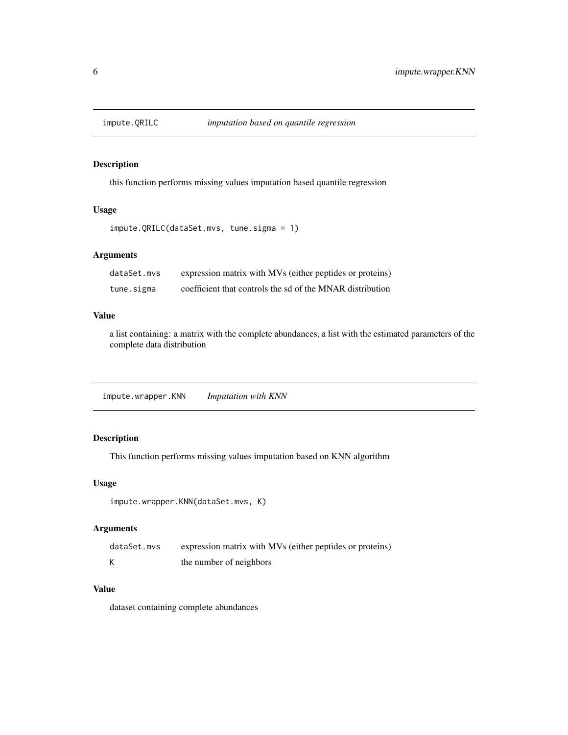<span id="page-5-0"></span>

this function performs missing values imputation based quantile regression

## Usage

```
impute.QRILC(dataSet.mvs, tune.sigma = 1)
```
## Arguments

| dataSet.mvs | expression matrix with MVs (either peptides or proteins)  |
|-------------|-----------------------------------------------------------|
| tune.sigma  | coefficient that controls the sd of the MNAR distribution |

#### Value

a list containing: a matrix with the complete abundances, a list with the estimated parameters of the complete data distribution

impute.wrapper.KNN *Imputation with KNN*

## Description

This function performs missing values imputation based on KNN algorithm

#### Usage

```
impute.wrapper.KNN(dataSet.mvs, K)
```
#### Arguments

| dataSet.mvs | expression matrix with MVs (either peptides or proteins) |
|-------------|----------------------------------------------------------|
| K           | the number of neighbors                                  |

## Value

dataset containing complete abundances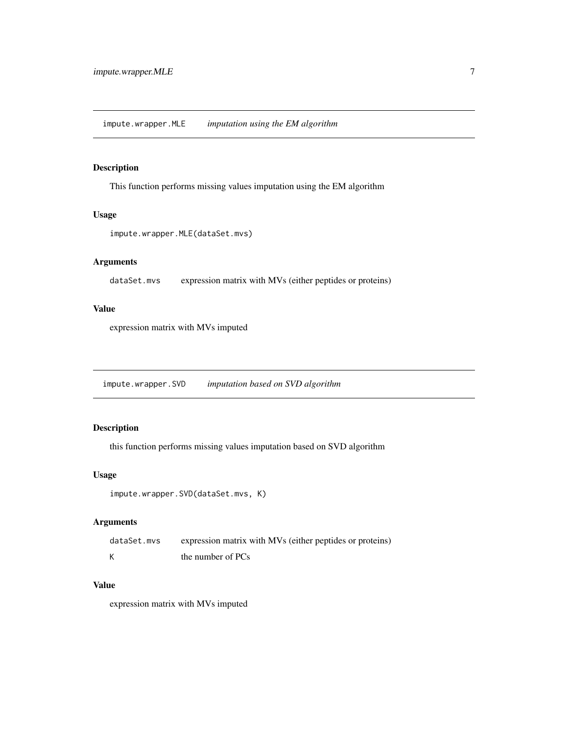<span id="page-6-0"></span>This function performs missing values imputation using the EM algorithm

### Usage

```
impute.wrapper.MLE(dataSet.mvs)
```
## Arguments

dataSet.mvs expression matrix with MVs (either peptides or proteins)

## Value

expression matrix with MVs imputed

impute.wrapper.SVD *imputation based on SVD algorithm*

## Description

this function performs missing values imputation based on SVD algorithm

## Usage

```
impute.wrapper.SVD(dataSet.mvs, K)
```
## Arguments

| dataSet.mvs | expression matrix with MVs (either peptides or proteins) |
|-------------|----------------------------------------------------------|
|             | the number of PCs                                        |

#### Value

expression matrix with MVs imputed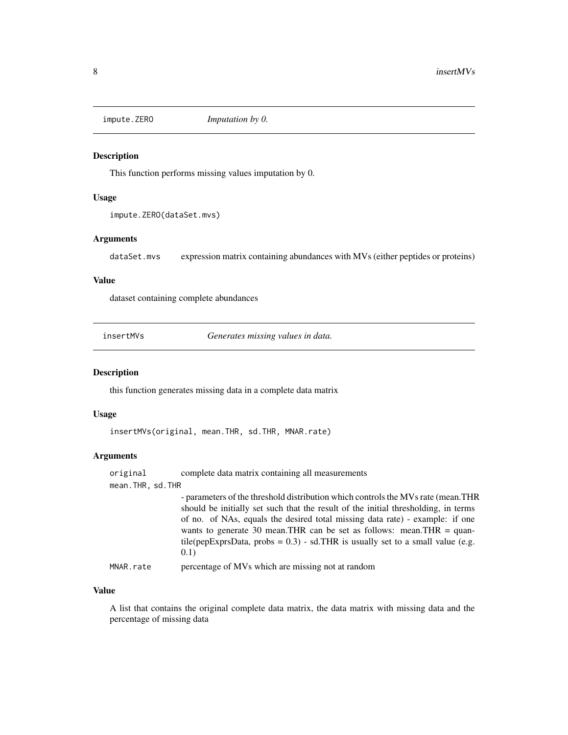<span id="page-7-0"></span>

This function performs missing values imputation by 0.

#### Usage

impute.ZERO(dataSet.mvs)

#### Arguments

dataSet.mvs expression matrix containing abundances with MVs (either peptides or proteins)

#### Value

dataset containing complete abundances

insertMVs *Generates missing values in data.*

## Description

this function generates missing data in a complete data matrix

#### Usage

insertMVs(original, mean.THR, sd.THR, MNAR.rate)

#### Arguments

original complete data matrix containing all measurements mean.THR, sd.THR - parameters of the threshold distribution which controls the MVs rate (mean.THR should be initially set such that the result of the initial thresholding, in terms of no. of NAs, equals the desired total missing data rate) - example: if one wants to generate 30 mean.THR can be set as follows: mean.THR = quantile(pepExprsData, probs =  $0.3$ ) - sd.THR is usually set to a small value (e.g. 0.1) MNAR.rate percentage of MVs which are missing not at random

#### Value

A list that contains the original complete data matrix, the data matrix with missing data and the percentage of missing data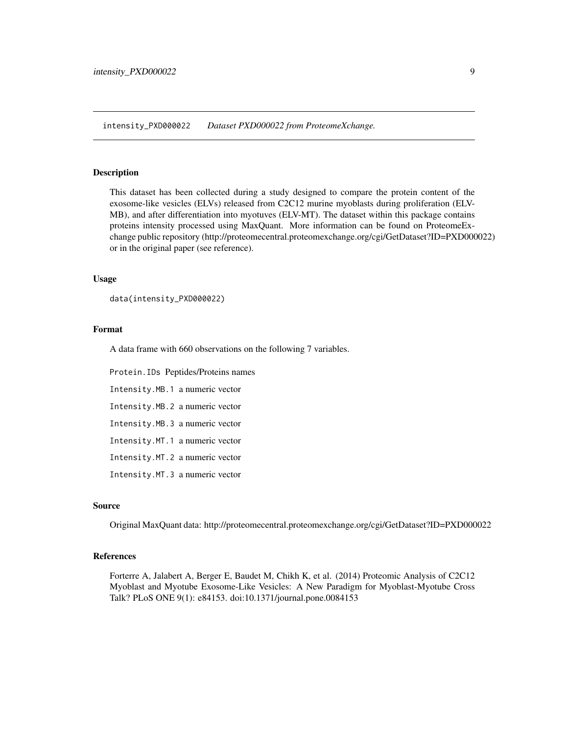<span id="page-8-0"></span>intensity\_PXD000022 *Dataset PXD000022 from ProteomeXchange.*

## Description

This dataset has been collected during a study designed to compare the protein content of the exosome-like vesicles (ELVs) released from C2C12 murine myoblasts during proliferation (ELV-MB), and after differentiation into myotuves (ELV-MT). The dataset within this package contains proteins intensity processed using MaxQuant. More information can be found on ProteomeExchange public repository (http://proteomecentral.proteomexchange.org/cgi/GetDataset?ID=PXD000022) or in the original paper (see reference).

#### Usage

data(intensity\_PXD000022)

#### Format

A data frame with 660 observations on the following 7 variables.

Protein.IDs Peptides/Proteins names

Intensity.MB.1 a numeric vector

Intensity.MB.2 a numeric vector

Intensity.MB.3 a numeric vector

Intensity.MT.1 a numeric vector

Intensity.MT.2 a numeric vector

Intensity.MT.3 a numeric vector

#### Source

Original MaxQuant data: http://proteomecentral.proteomexchange.org/cgi/GetDataset?ID=PXD000022

#### References

Forterre A, Jalabert A, Berger E, Baudet M, Chikh K, et al. (2014) Proteomic Analysis of C2C12 Myoblast and Myotube Exosome-Like Vesicles: A New Paradigm for Myoblast-Myotube Cross Talk? PLoS ONE 9(1): e84153. doi:10.1371/journal.pone.0084153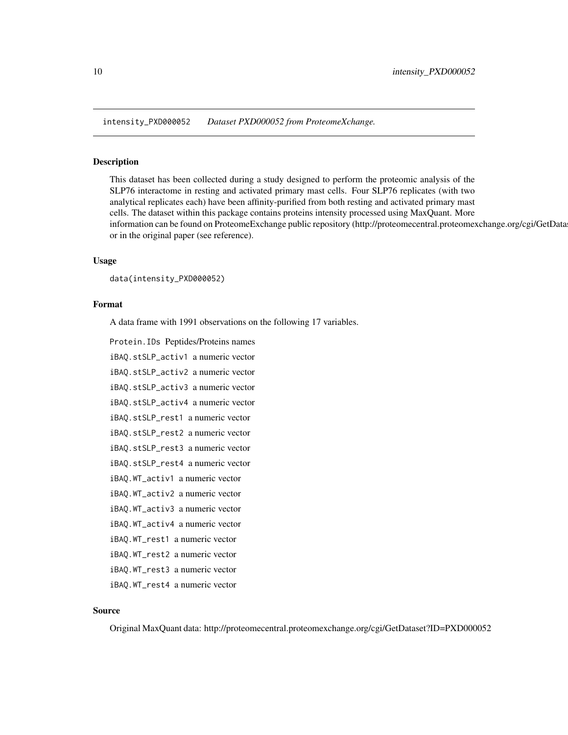<span id="page-9-0"></span>intensity\_PXD000052 *Dataset PXD000052 from ProteomeXchange.*

#### Description

This dataset has been collected during a study designed to perform the proteomic analysis of the SLP76 interactome in resting and activated primary mast cells. Four SLP76 replicates (with two analytical replicates each) have been affinity-purified from both resting and activated primary mast cells. The dataset within this package contains proteins intensity processed using MaxQuant. More information can be found on ProteomeExchange public repository (http://proteomecentral.proteomexchange.org/cgi/GetData or in the original paper (see reference).

#### Usage

data(intensity\_PXD000052)

#### Format

A data frame with 1991 observations on the following 17 variables.

Protein.IDs Peptides/Proteins names iBAQ.stSLP\_activ1 a numeric vector iBAQ.stSLP\_activ2 a numeric vector iBAQ.stSLP\_activ3 a numeric vector iBAQ.stSLP\_activ4 a numeric vector iBAQ.stSLP\_rest1 a numeric vector iBAQ.stSLP\_rest2 a numeric vector iBAQ.stSLP\_rest3 a numeric vector iBAQ.stSLP\_rest4 a numeric vector iBAQ.WT\_activ1 a numeric vector iBAQ.WT\_activ2 a numeric vector iBAQ.WT\_activ3 a numeric vector iBAQ.WT\_activ4 a numeric vector

- 
- iBAQ.WT\_rest1 a numeric vector
- iBAQ.WT\_rest2 a numeric vector
- iBAQ.WT\_rest3 a numeric vector
- iBAQ.WT\_rest4 a numeric vector

## Source

Original MaxQuant data: http://proteomecentral.proteomexchange.org/cgi/GetDataset?ID=PXD000052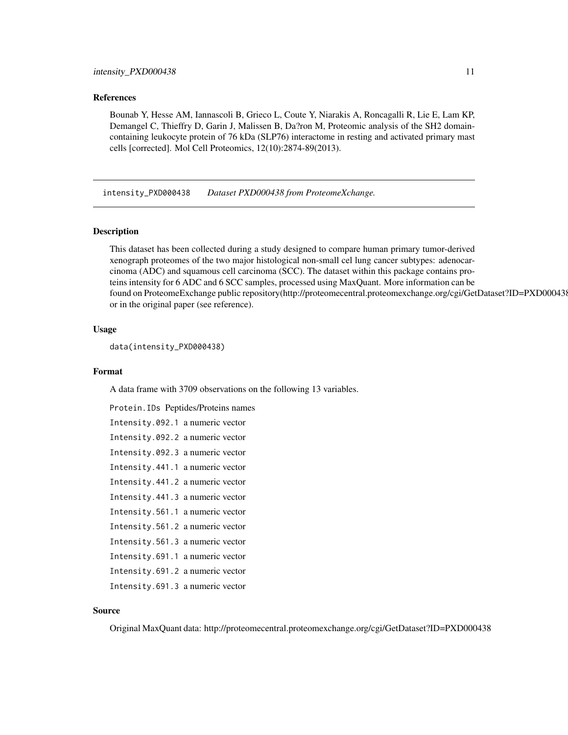#### <span id="page-10-0"></span>References

Bounab Y, Hesse AM, Iannascoli B, Grieco L, Coute Y, Niarakis A, Roncagalli R, Lie E, Lam KP, Demangel C, Thieffry D, Garin J, Malissen B, Da?ron M, Proteomic analysis of the SH2 domaincontaining leukocyte protein of 76 kDa (SLP76) interactome in resting and activated primary mast cells [corrected]. Mol Cell Proteomics, 12(10):2874-89(2013).

intensity\_PXD000438 *Dataset PXD000438 from ProteomeXchange.*

#### Description

This dataset has been collected during a study designed to compare human primary tumor-derived xenograph proteomes of the two major histological non-small cel lung cancer subtypes: adenocarcinoma (ADC) and squamous cell carcinoma (SCC). The dataset within this package contains proteins intensity for 6 ADC and 6 SCC samples, processed using MaxQuant. More information can be found on ProteomeExchange public repository(http://proteomecentral.proteomexchange.org/cgi/GetDataset?ID=PXD000438) or in the original paper (see reference).

#### Usage

```
data(intensity_PXD000438)
```
#### Format

A data frame with 3709 observations on the following 13 variables.

Protein.IDs Peptides/Proteins names Intensity.092.1 a numeric vector Intensity.092.2 a numeric vector Intensity.092.3 a numeric vector Intensity.441.1 a numeric vector Intensity.441.2 a numeric vector Intensity.441.3 a numeric vector Intensity.561.1 a numeric vector Intensity.561.2 a numeric vector Intensity.561.3 a numeric vector Intensity.691.1 a numeric vector Intensity.691.2 a numeric vector Intensity.691.3 a numeric vector

## Source

Original MaxQuant data: http://proteomecentral.proteomexchange.org/cgi/GetDataset?ID=PXD000438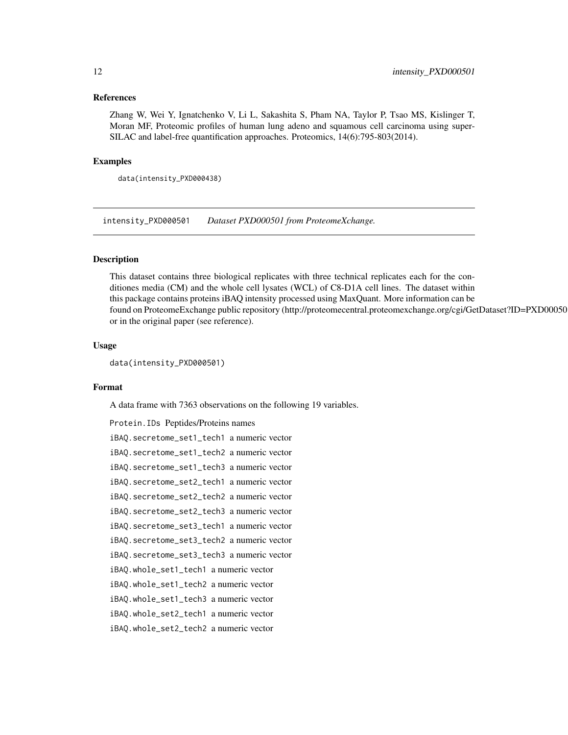#### <span id="page-11-0"></span>References

Zhang W, Wei Y, Ignatchenko V, Li L, Sakashita S, Pham NA, Taylor P, Tsao MS, Kislinger T, Moran MF, Proteomic profiles of human lung adeno and squamous cell carcinoma using super-SILAC and label-free quantification approaches. Proteomics, 14(6):795-803(2014).

#### Examples

data(intensity\_PXD000438)

intensity\_PXD000501 *Dataset PXD000501 from ProteomeXchange.*

#### Description

This dataset contains three biological replicates with three technical replicates each for the conditiones media (CM) and the whole cell lysates (WCL) of C8-D1A cell lines. The dataset within this package contains proteins iBAQ intensity processed using MaxQuant. More information can be found on ProteomeExchange public repository (http://proteomecentral.proteomexchange.org/cgi/GetDataset?ID=PXD000501) or in the original paper (see reference).

#### Usage

data(intensity\_PXD000501)

## Format

A data frame with 7363 observations on the following 19 variables.

```
Protein.IDs Peptides/Proteins names
iBAQ.secretome_set1_tech1 a numeric vector
iBAQ.secretome_set1_tech2 a numeric vector
iBAQ.secretome_set1_tech3 a numeric vector
iBAQ.secretome_set2_tech1 a numeric vector
iBAQ.secretome_set2_tech2 a numeric vector
iBAQ.secretome_set2_tech3 a numeric vector
iBAQ.secretome_set3_tech1 a numeric vector
iBAQ.secretome_set3_tech2 a numeric vector
iBAQ.secretome_set3_tech3 a numeric vector
iBAQ.whole_set1_tech1 a numeric vector
iBAQ.whole_set1_tech2 a numeric vector
iBAQ.whole_set1_tech3 a numeric vector
iBAQ.whole_set2_tech1 a numeric vector
iBAQ.whole_set2_tech2 a numeric vector
```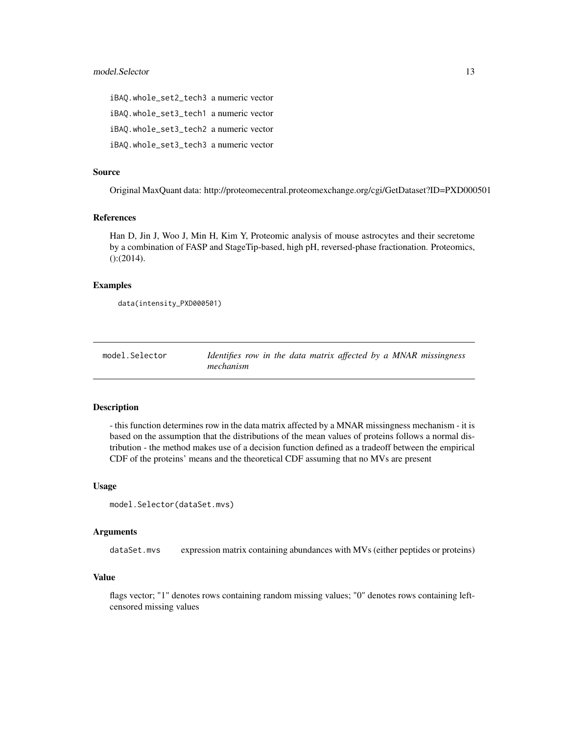<span id="page-12-0"></span>iBAQ.whole\_set2\_tech3 a numeric vector iBAQ.whole\_set3\_tech1 a numeric vector iBAQ.whole\_set3\_tech2 a numeric vector iBAQ.whole\_set3\_tech3 a numeric vector

#### Source

Original MaxQuant data: http://proteomecentral.proteomexchange.org/cgi/GetDataset?ID=PXD000501

#### References

Han D, Jin J, Woo J, Min H, Kim Y, Proteomic analysis of mouse astrocytes and their secretome by a combination of FASP and StageTip-based, high pH, reversed-phase fractionation. Proteomics, ():(2014).

## Examples

```
data(intensity_PXD000501)
```

| model.Selector | Identifies row in the data matrix affected by a MNAR missingness |  |  |  |  |
|----------------|------------------------------------------------------------------|--|--|--|--|
|                | mechanism                                                        |  |  |  |  |

#### Description

- this function determines row in the data matrix affected by a MNAR missingness mechanism - it is based on the assumption that the distributions of the mean values of proteins follows a normal distribution - the method makes use of a decision function defined as a tradeoff between the empirical CDF of the proteins' means and the theoretical CDF assuming that no MVs are present

#### Usage

```
model.Selector(dataSet.mvs)
```
#### Arguments

dataSet.mvs expression matrix containing abundances with MVs (either peptides or proteins)

## Value

flags vector; "1" denotes rows containing random missing values; "0" denotes rows containing leftcensored missing values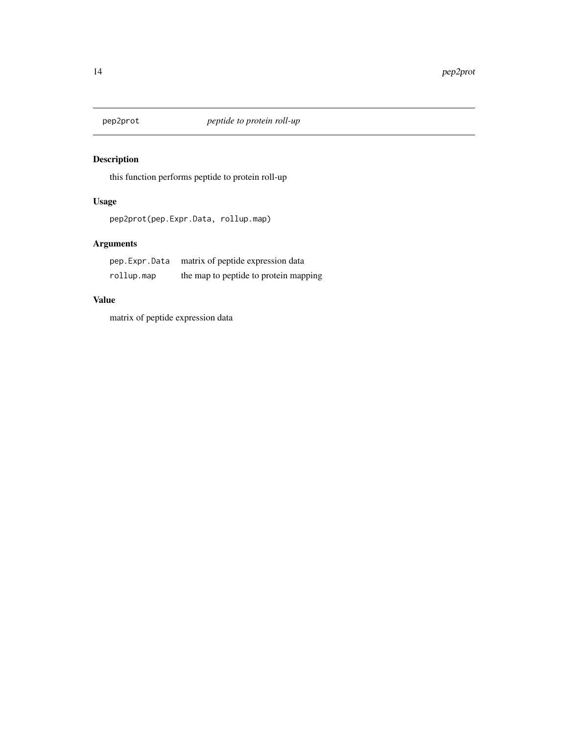<span id="page-13-0"></span>

this function performs peptide to protein roll-up

## Usage

pep2prot(pep.Expr.Data, rollup.map)

## Arguments

| pep.Expr.Data | matrix of peptide expression data     |
|---------------|---------------------------------------|
| rollup.map    | the map to peptide to protein mapping |

## Value

matrix of peptide expression data